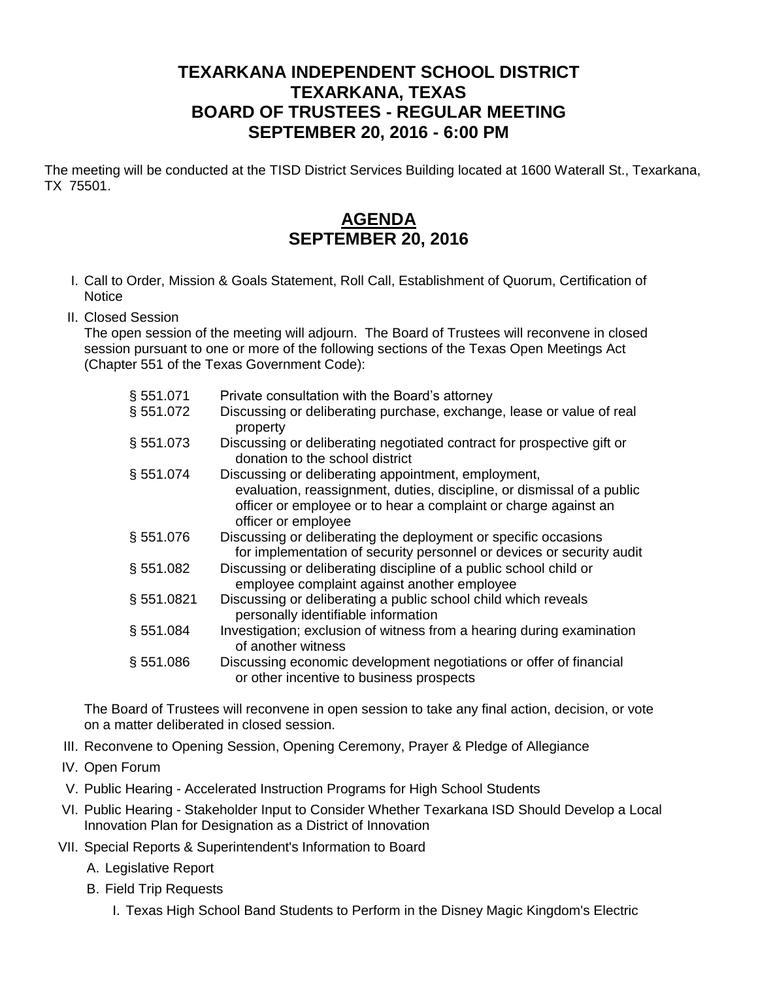## **TEXARKANA INDEPENDENT SCHOOL DISTRICT TEXARKANA, TEXAS BOARD OF TRUSTEES - REGULAR MEETING SEPTEMBER 20, 2016 - 6:00 PM**

The meeting will be conducted at the TISD District Services Building located at 1600 Waterall St., Texarkana, TX 75501.

## **AGENDA SEPTEMBER 20, 2016**

- I. Call to Order, Mission & Goals Statement, Roll Call, Establishment of Quorum, Certification of **Notice**
- II. Closed Session

The open session of the meeting will adjourn. The Board of Trustees will reconvene in closed session pursuant to one or more of the following sections of the Texas Open Meetings Act (Chapter 551 of the Texas Government Code):

| § 551.071    | Private consultation with the Board's attorney                                                                                                                   |
|--------------|------------------------------------------------------------------------------------------------------------------------------------------------------------------|
| § 551.072    | Discussing or deliberating purchase, exchange, lease or value of real<br>property                                                                                |
| § 551.073    | Discussing or deliberating negotiated contract for prospective gift or<br>donation to the school district                                                        |
| § 551.074    | Discussing or deliberating appointment, employment,                                                                                                              |
|              | evaluation, reassignment, duties, discipline, or dismissal of a public<br>officer or employee or to hear a complaint or charge against an<br>officer or employee |
| §551.076     | Discussing or deliberating the deployment or specific occasions<br>for implementation of security personnel or devices or security audit                         |
| § 551.082    | Discussing or deliberating discipline of a public school child or<br>employee complaint against another employee                                                 |
| §551.0821    | Discussing or deliberating a public school child which reveals<br>personally identifiable information                                                            |
| $\S 551.084$ | Investigation; exclusion of witness from a hearing during examination<br>of another witness                                                                      |
| § 551.086    | Discussing economic development negotiations or offer of financial<br>or other incentive to business prospects                                                   |

The Board of Trustees will reconvene in open session to take any final action, decision, or vote on a matter deliberated in closed session.

- III. Reconvene to Opening Session, Opening Ceremony, Prayer & Pledge of Allegiance
- IV. Open Forum
- V. Public Hearing Accelerated Instruction Programs for High School Students
- VI. Public Hearing Stakeholder Input to Consider Whether Texarkana ISD Should Develop a Local Innovation Plan for Designation as a District of Innovation
- VII. Special Reports & Superintendent's Information to Board
	- A. Legislative Report
	- B. Field Trip Requests
		- I. Texas High School Band Students to Perform in the Disney Magic Kingdom's Electric